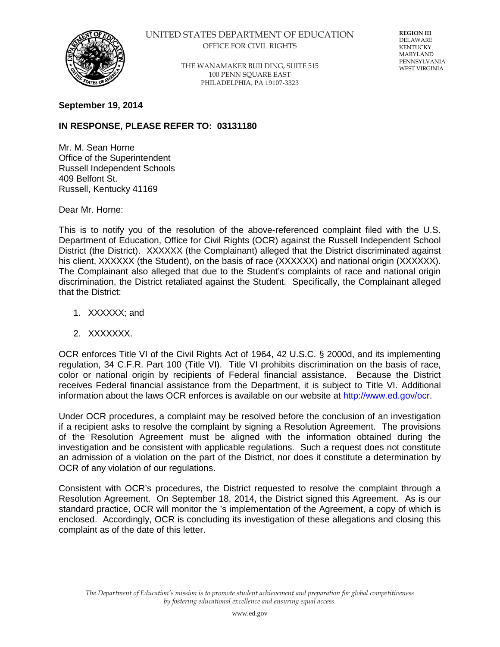

## UNITED STATES DEPARTMENT OF EDUCATION OFFICE FOR CIVIL RIGHTS

THE WANAMAKER BUILDING, SUITE 515 100 PENN SQUARE EAST PHILADELPHIA, PA 19107-3323

**REGION III** DELAWARE KENTUCKY MARYLAND PENNSYLVANIA WEST VIRGINIA

## **September 19, 2014**

## **IN RESPONSE, PLEASE REFER TO: 03131180**

Mr. M. Sean Horne Office of the Superintendent Russell Independent Schools 409 Belfont St. Russell, Kentucky 41169

Dear Mr. Horne:

This is to notify you of the resolution of the above-referenced complaint filed with the U.S. Department of Education, Office for Civil Rights (OCR) against the Russell Independent School District (the District). XXXXXX (the Complainant) alleged that the District discriminated against his client, XXXXXX (the Student), on the basis of race (XXXXXX) and national origin (XXXXXX). The Complainant also alleged that due to the Student's complaints of race and national origin discrimination, the District retaliated against the Student. Specifically, the Complainant alleged that the District:

- 1. XXXXXX; and
- 2. XXXXXXX.

OCR enforces Title VI of the Civil Rights Act of 1964, 42 U.S.C. § 2000d, and its implementing regulation, 34 C.F.R. Part 100 (Title VI). Title VI prohibits discrimination on the basis of race, color or national origin by recipients of Federal financial assistance. Because the District receives Federal financial assistance from the Department, it is subject to Title VI. Additional information about the laws OCR enforces is available on our website at [http://www.ed.gov/ocr.](http://www.ed.gov/ocr)

Under OCR procedures, a complaint may be resolved before the conclusion of an investigation if a recipient asks to resolve the complaint by signing a Resolution Agreement. The provisions of the Resolution Agreement must be aligned with the information obtained during the investigation and be consistent with applicable regulations. Such a request does not constitute an admission of a violation on the part of the District, nor does it constitute a determination by OCR of any violation of our regulations.

Consistent with OCR's procedures, the District requested to resolve the complaint through a Resolution Agreement. On September 18, 2014, the District signed this Agreement. As is our standard practice, OCR will monitor the 's implementation of the Agreement, a copy of which is enclosed. Accordingly, OCR is concluding its investigation of these allegations and closing this complaint as of the date of this letter.